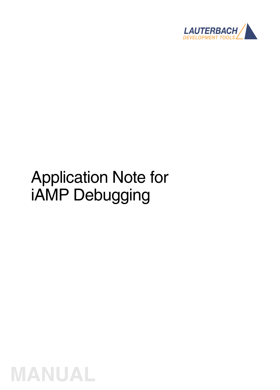

# Application Note for iAMP Debugging

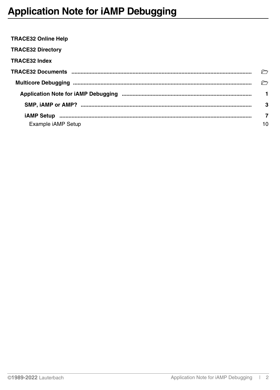<span id="page-1-0"></span>

| <b>TRACE32 Online Help</b> |    |
|----------------------------|----|
| <b>TRACE32 Directory</b>   |    |
| <b>TRACE32 Index</b>       |    |
|                            |    |
|                            |    |
|                            | 1. |
|                            | 3  |
|                            | 7  |
| Example <i>iAMP</i> Setup  | 10 |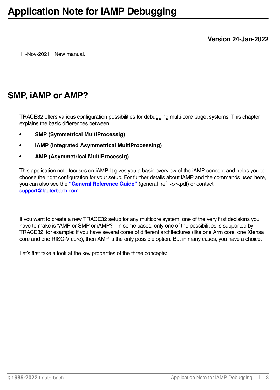**Version 24-Jan-2022**

11-Nov-2021 New manual.

# <span id="page-2-0"></span>**SMP, iAMP or AMP?**

TRACE32 offers various configuration possibilities for debugging multi-core target systems. This chapter explains the basic differences between:

- **SMP (Symmetrical MultiProcessig)**
- **iAMP (integrated Asymmetrical MultiProcessing)**
- **AMP (Asymmetrical MultiProcessig)**

This application note focuses on iAMP. It gives you a basic overview of the iAMP concept and helps you to choose the right configuration for your setup. For further details about iAMP and the commands used here, you can also see the **"General Reference Guide"** (general\_ref\_*<x>*.pdf) or contact support@lauterbach.com.

If you want to create a new TRACE32 setup for any multicore system, one of the very first decisions you have to make is "AMP or SMP or iAMP?". In some cases, only one of the possibilities is supported by TRACE32, for example: if you have several cores of different architectures (like one Arm core, one Xtensa core and one RISC-V core), then AMP is the only possible option. But in many cases, you have a choice.

Let's first take a look at the key properties of the three concepts: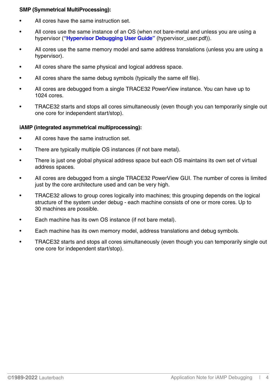## **SMP (Symmetrical MultiProcessing):**

- All cores have the same instruction set.
- All cores use the same instance of an OS (when not bare-metal and unless you are using a hypervisor (**["Hypervisor Debugging User Guide"](#page-1-0)** (hypervisor\_user.pdf)).
- All cores use the same memory model and same address translations (unless you are using a hypervisor).
- All cores share the same physical and logical address space.
- All cores share the same debug symbols (typically the same elf file).
- All cores are debugged from a single TRACE32 PowerView instance. You can have up to 1024 cores.
- TRACE32 starts and stops all cores simultaneously (even though you can temporarily single out one core for independent start/stop).

#### **iAMP (integrated asymmetrical multiprocessing):**

- All cores have the same instruction set.
- There are typically multiple OS instances (if not bare metal).
- There is just one global physical address space but each OS maintains its own set of virtual address spaces.
- All cores are debugged from a single TRACE32 PowerView GUI. The number of cores is limited just by the core architecture used and can be very high.
- TRACE32 allows to group cores logically into machines; this grouping depends on the logical structure of the system under debug - each machine consists of one or more cores. Up to 30 machines are possible.
- Each machine has its own OS instance (if not bare metal).
- Each machine has its own memory model, address translations and debug symbols.
- TRACE32 starts and stops all cores simultaneously (even though you can temporarily single out one core for independent start/stop).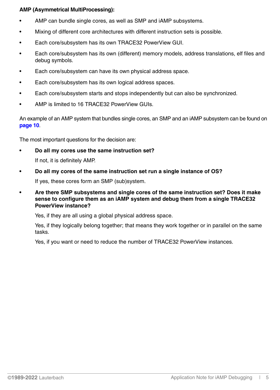## **AMP (Asymmetrical MultiProcessing):**

- AMP can bundle single cores, as well as SMP and iAMP subsystems.
- Mixing of different core architectures with different instruction sets is possible.
- Each core/subsystem has its own TRACE32 PowerView GUI.
- Each core/subsystem has its own (different) memory models, address translations, elf files and debug symbols.
- Each core/subsystem can have its own physical address space.
- Each core/subsystem has its own logical address spaces.
- Each core/subsystem starts and stops independently but can also be synchronized.
- AMP is limited to 16 TRACE32 PowerView GUIs.

An example of an AMP system that bundles single cores, an SMP and an iAMP subsystem can be found on **[page 10](#page-9-1)**.

The most important questions for the decision are:

**• Do all my cores use the same instruction set?**

If not, it is definitely AMP.

**• Do all my cores of the same instruction set run a single instance of OS?**

If yes, these cores form an SMP (sub)system.

**• Are there SMP subsystems and single cores of the same instruction set? Does it make sense to configure them as an iAMP system and debug them from a single TRACE32 PowerView instance?**

Yes, if they are all using a global physical address space.

Yes, if they logically belong together; that means they work together or in parallel on the same tasks.

Yes, if you want or need to reduce the number of TRACE32 PowerView instances.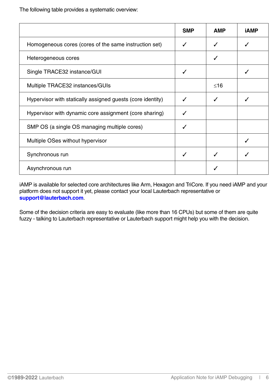The following table provides a systematic overview:

|                                                            | <b>SMP</b> | <b>AMP</b> | iAMP |
|------------------------------------------------------------|------------|------------|------|
| Homogeneous cores (cores of the same instruction set)      |            |            |      |
| Heterogeneous cores                                        |            |            |      |
| Single TRACE32 instance/GUI                                | ✓          |            |      |
| Multiple TRACE32 instances/GUIs                            |            | ≤16        |      |
| Hypervisor with statically assigned guests (core identity) |            |            |      |
| Hypervisor with dynamic core assignment (core sharing)     |            |            |      |
| SMP OS (a single OS managing multiple cores)               |            |            |      |
| Multiple OSes without hypervisor                           |            |            |      |
| Synchronous run                                            |            |            |      |
| Asynchronous run                                           |            |            |      |

iAMP is available for selected core architectures like Arm, Hexagon and TriCore. If you need iAMP and your platform does not support it yet, please contact your local Lauterbach representative or **support@lauterbach.com**.

Some of the decision criteria are easy to evaluate (like more than 16 CPUs) but some of them are quite fuzzy - talking to Lauterbach representative or Lauterbach support might help you with the decision.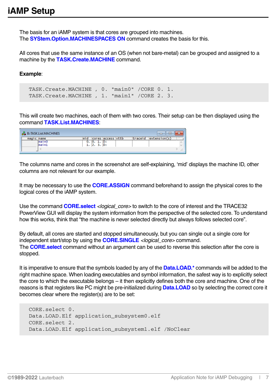<span id="page-6-0"></span>The basis for an iAMP system is that cores are grouped into machines. The **SYStem.Option.MACHINESPACES ON** command creates the basis for this.

All cores that use the same instance of an OS (when not bare-metal) can be grouped and assigned to a machine by the **TASK.Create.MACHINE** command.

#### **Example**:

TASK.Create.MACHINE , 0. "main0" /CORE 0. 1. TASK.Create.MACHINE , 1. "main1" /CORE 2. 3.

This will create two machines, each of them with two cores. Their setup can be then displayed using the command **TASK.List.MACHINES**:

|            | <b>B:</b> TASK.List.MACHINES |           |                   |         | ▣            |  |
|------------|------------------------------|-----------|-------------------|---------|--------------|--|
| magic name |                              |           | cores access vttb | traceid | extension(s) |  |
|            | $1$ $m$ $1$ $n$ $0$<br>main1 | $2.3.$ D: | ID:               |         |              |  |
|            |                              |           |                   |         |              |  |

The columns name and cores in the screenshot are self-explaining, 'mid' displays the machine ID, other columns are not relevant for our example.

It may be necessary to use the **CORE.ASSIGN** command beforehand to assign the physical cores to the logical cores of the iAMP system.

Use the command **CORE.select** *<logical core>* to switch to the core of interest and the TRACE32 PowerView GUI will display the system information from the perspective of the selected core. To understand how this works, think that "the machine is never selected directly but always follows selected core".

By default, all cores are started and stopped simultaneously, but you can single out a single core for independent start/stop by using the **CORE.SINGLE** *<logical\_core>* command. The **CORE.select** command without an argument can be used to reverse this selection after the core is stopped.

It is imperative to ensure that the symbols loaded by any of the **Data.LOAD.\*** commands will be added to the right machine space. When loading executables and symbol information, the safest way is to explicitly select the core to which the executable belongs – it then explicitly defines both the core and machine. One of the reasons is that registers like PC might be pre-initialized during **Data.LOAD** so by selecting the correct core it becomes clear where the register(s) are to be set:

```
CORE.select 0.
Data.LOAD.Elf application_subsystem0.elf
CORE.select 2.
Data.LOAD.Elf application_subsystem1.elf /NoClear
```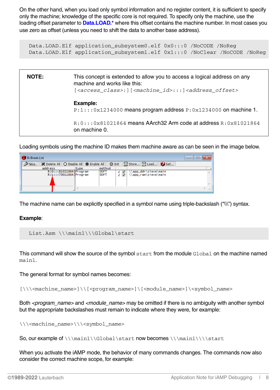On the other hand, when you load only symbol information and no register content, it is sufficient to specify only the machine; knowledge of the specific core is not required. To specify only the machine, use the loading offset parameter to **Data.LOAD.\*** where this offset contains the machine number. In most cases you use zero as offset (unless you need to shift the data to another base address).

Data.LOAD.Elf application\_subsystem0.elf 0x0:::0 /NoCODE /NoReg Data.LOAD.Elf application\_subsystem1.elf 0x1:::0 /NoClear /NoCODE /NoReg



Loading symbols using the machine ID makes them machine aware as can be seen in the image below.

| <b>B</b> :Break.List |         |                                                    |                     |               |                   |                                            | $\Box$<br>$\Box$ | 24 |
|----------------------|---------|----------------------------------------------------|---------------------|---------------|-------------------|--------------------------------------------|------------------|----|
| Setup                |         | X Delete All   ○ Disable All   ● Enable All        |                     | <b>⊗</b> Init |                   | Store B Load   B Set                       |                  |    |
|                      | address | type                                               | method              |               |                   |                                            |                  |    |
|                      |         | R:0:::81021864 Program<br>$R:1:1:70011864$ Program | <b>SOFT</b><br>SOFT |               | $\mathscr Q$<br>Ò | \app_ddr\sieve\main<br>\app_ram\sieve\main |                  |    |
|                      |         |                                                    |                     |               |                   |                                            |                  |    |
|                      |         |                                                    |                     |               |                   |                                            |                  |    |

The machine name can be explicitly specified in a symbol name using triple-backslash ("\\\") syntax.

#### **Example**:

List.Asm \\\main1\\\Global\start

This command will show the source of the symbol start from the module Global on the machine named main1.

The general format for symbol names becomes:

[\\\<machine\_name>]\\[<program\_name>]\[<module\_name>]\<symbol\_name>

Both *<program\_name>* and *<module\_name>* may be omitted if there is no ambiguity with another symbol but the appropriate backslashes must remain to indicate where they were, for example:

\\\<machine\_name>\\\<symbol\_name>

So, our example of \\\main1\\Global\start now becomes \\\main1\\\\start

When you activate the iAMP mode, the behavior of many commands changes. The commands now also consider the correct machine scope, for example: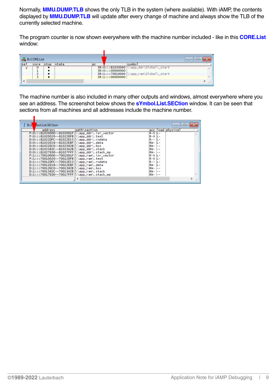Normally, **MMU.DUMP.TLB** shows the only TLB in the system (where available). With iAMP, the contents displayed by **MMU.DUMP.TLB** will update after every change of machine and always show the TLB of the currently selected machine.

The program counter is now shown everywhere with the machine number included - like in this **CORE.List** window:

|     | <b>B</b> :CORE.List |      |       |    |                                                              | E                        |
|-----|---------------------|------|-------|----|--------------------------------------------------------------|--------------------------|
| set | core                | stop | state | bc | svmbol                                                       |                          |
|     |                     |      |       |    | SR:0:::81020040<br>\app_ddr\Global\_start<br>SR:0:::00000000 |                          |
|     |                     |      |       |    | $SR:1::70010040$ \\app_ram\Global\_start<br>SR:1:::00000000  |                          |
|     |                     |      |       |    |                                                              | $\overline{\phantom{a}}$ |

The machine number is also included in many other outputs and windows, almost everywhere where you see an address. The screenshot below shows the **sYmbol.List.SECtion** window. It can be seen that sections from all machines and all addresses include the machine number.

| <b>B</b> ::s | bol.List.SECtion            |                      |            |              | 画<br>$\Box$       | $\mathbf{x}$ |
|--------------|-----------------------------|----------------------|------------|--------------|-------------------|--------------|
|              | address                     | path\section         |            |              | acc load physical |              |
|              | P:0:::81020000--8102001F    | app_ddr\.isr_vector  | $R-X$ $L-$ |              |                   |              |
|              | P:0:::81020020--81022DFB    | app_ddr\.text        | $R-X$ L-   |              |                   |              |
|              | $D:0:1:81022DFC--81022E53$  | app_ddr\.rodata      | $R - -$    | н –          |                   |              |
|              | $D:0:1:81022E58--81022EBF$  | app_ddr\.data        | $RW-IL-$   |              |                   |              |
|              | $D:0:1:81022EC0--8102382B$  | $app_ddr\iota$ , bss | $RW-$      | <u>  — —</u> |                   |              |
|              | $D:0:1:8102382C--81023A2B$  | app_ddr\.stack       | $RW-$      | --           |                   |              |
|              | $D:0:1:81027E00--81027FFF$  | app_ddr\.stack_mp    | RW-        | <u>.</u>     |                   |              |
|              | $P:1:1:70010000--7001001F$  | app_ram\.isr_vector  | $R-X/L-$   |              |                   |              |
|              | P:1:::70010020--70012DFB    | app_ram\.text        | $R-X$ L-   |              |                   |              |
|              | $D:1:1:70012$ DFC--70012E53 | app_ram\.rodata      | $R - -$    |              |                   |              |
|              | $D:1:1:70012E58--70012EBF$  | app_ram\.data        | $RW-IL-$   |              |                   |              |
|              | D:1:::70012EC0--7001382B    | app_ram\.bss         | $RW-$      | --           |                   |              |
|              | $D:1:1:7001382C--70013A2B$  | .app_ram\.stack      | RW-        |              |                   |              |
|              | D:1:::70017E00--70017FFF    | app_ram\.stack_mp    | $RW-$      | $-$          |                   |              |
|              |                             | ≺                    |            |              |                   | $\cdot$      |
|              |                             |                      |            |              |                   |              |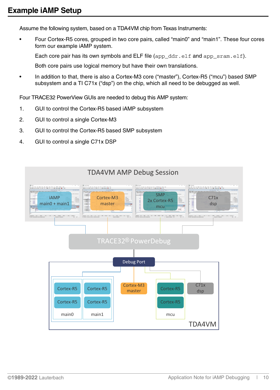<span id="page-9-1"></span><span id="page-9-0"></span>Assume the following system, based on a TDA4VM chip from Texas Instruments:

• Four Cortex-R5 cores, grouped in two core pairs, called "main0" and "main1". These four cores form our example iAMP system.

Each core pair has its own symbols and ELF file (app  $ddr.$ elf and app  $sram.$ elf).

Both core pairs use logical memory but have their own translations.

• In addition to that, there is also a Cortex-M3 core ("master"), Cortex-R5 ("mcu") based SMP subsystem and a TI C71x ("dsp") on the chip, which all need to be debugged as well.

Four TRACE32 PowerView GUIs are needed to debug this AMP system:

- 1. GUI to control the Cortex-R5 based iAMP subsystem
- 2. GUI to control a single Cortex-M3
- 3. GUI to control the Cortex-R5 based SMP subsystem
- 4. GUI to control a single C71x DSP